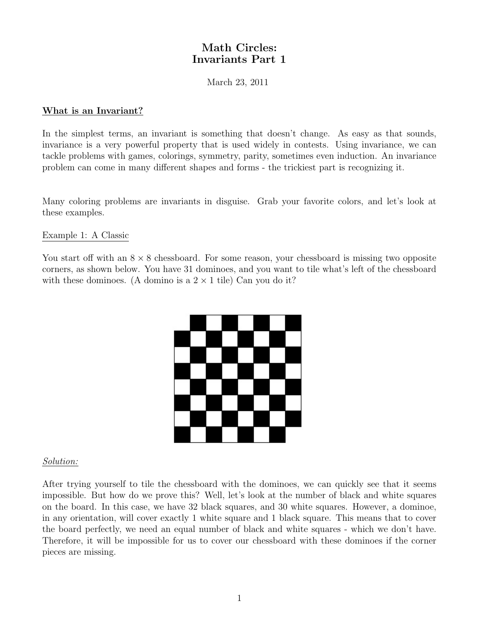## Math Circles: Invariants Part 1

March 23, 2011

#### What is an Invariant?

In the simplest terms, an invariant is something that doesn't change. As easy as that sounds, invariance is a very powerful property that is used widely in contests. Using invariance, we can tackle problems with games, colorings, symmetry, parity, sometimes even induction. An invariance problem can come in many different shapes and forms - the trickiest part is recognizing it.

Many coloring problems are invariants in disguise. Grab your favorite colors, and let's look at these examples.

#### Example 1: A Classic

You start off with an  $8 \times 8$  chessboard. For some reason, your chessboard is missing two opposite corners, as shown below. You have 31 dominoes, and you want to tile what's left of the chessboard with these dominoes. (A domino is a  $2 \times 1$  tile) Can you do it?



#### Solution:

After trying yourself to tile the chessboard with the dominoes, we can quickly see that it seems impossible. But how do we prove this? Well, let's look at the number of black and white squares on the board. In this case, we have 32 black squares, and 30 white squares. However, a dominoe, in any orientation, will cover exactly 1 white square and 1 black square. This means that to cover the board perfectly, we need an equal number of black and white squares - which we don't have. Therefore, it will be impossible for us to cover our chessboard with these dominoes if the corner pieces are missing.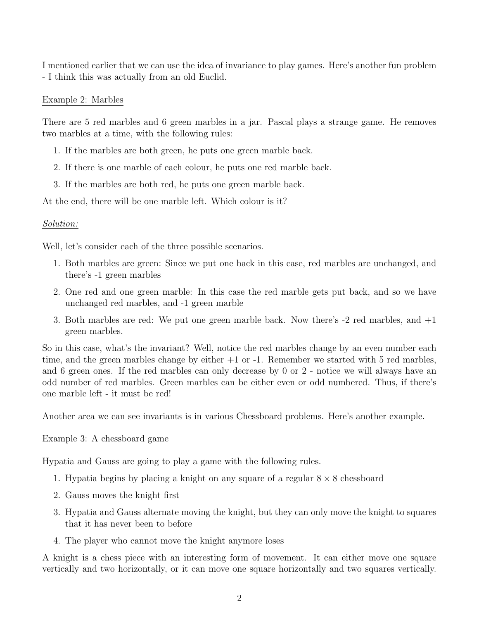I mentioned earlier that we can use the idea of invariance to play games. Here's another fun problem - I think this was actually from an old Euclid.

### Example 2: Marbles

There are 5 red marbles and 6 green marbles in a jar. Pascal plays a strange game. He removes two marbles at a time, with the following rules:

- 1. If the marbles are both green, he puts one green marble back.
- 2. If there is one marble of each colour, he puts one red marble back.
- 3. If the marbles are both red, he puts one green marble back.

At the end, there will be one marble left. Which colour is it?

## Solution:

Well, let's consider each of the three possible scenarios.

- 1. Both marbles are green: Since we put one back in this case, red marbles are unchanged, and there's -1 green marbles
- 2. One red and one green marble: In this case the red marble gets put back, and so we have unchanged red marbles, and -1 green marble
- 3. Both marbles are red: We put one green marble back. Now there's -2 red marbles, and +1 green marbles.

So in this case, what's the invariant? Well, notice the red marbles change by an even number each time, and the green marbles change by either  $+1$  or  $-1$ . Remember we started with 5 red marbles, and 6 green ones. If the red marbles can only decrease by 0 or 2 - notice we will always have an odd number of red marbles. Green marbles can be either even or odd numbered. Thus, if there's one marble left - it must be red!

Another area we can see invariants is in various Chessboard problems. Here's another example.

## Example 3: A chessboard game

Hypatia and Gauss are going to play a game with the following rules.

- 1. Hypatia begins by placing a knight on any square of a regular  $8 \times 8$  chessboard
- 2. Gauss moves the knight first
- 3. Hypatia and Gauss alternate moving the knight, but they can only move the knight to squares that it has never been to before
- 4. The player who cannot move the knight anymore loses

A knight is a chess piece with an interesting form of movement. It can either move one square vertically and two horizontally, or it can move one square horizontally and two squares vertically.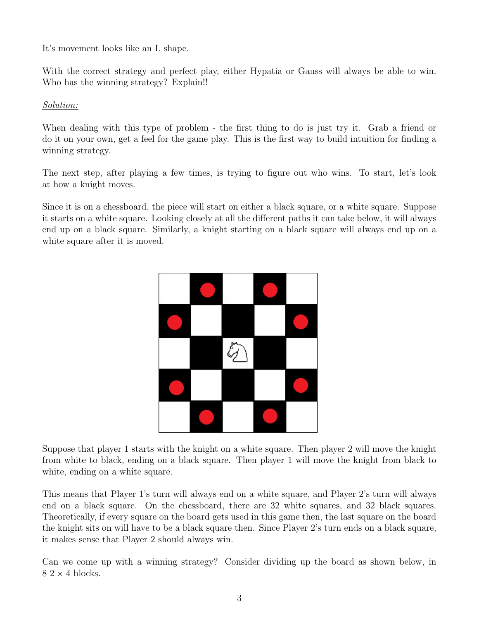It's movement looks like an L shape.

With the correct strategy and perfect play, either Hypatia or Gauss will always be able to win. Who has the winning strategy? Explain!!

## Solution:

When dealing with this type of problem - the first thing to do is just try it. Grab a friend or do it on your own, get a feel for the game play. This is the first way to build intuition for finding a winning strategy.

The next step, after playing a few times, is trying to figure out who wins. To start, let's look at how a knight moves.

Since it is on a chessboard, the piece will start on either a black square, or a white square. Suppose it starts on a white square. Looking closely at all the different paths it can take below, it will always end up on a black square. Similarly, a knight starting on a black square will always end up on a white square after it is moved.



Suppose that player 1 starts with the knight on a white square. Then player 2 will move the knight from white to black, ending on a black square. Then player 1 will move the knight from black to white, ending on a white square.

This means that Player 1's turn will always end on a white square, and Player 2's turn will always end on a black square. On the chessboard, there are 32 white squares, and 32 black squares. Theoretically, if every square on the board gets used in this game then, the last square on the board the knight sits on will have to be a black square then. Since Player 2's turn ends on a black square, it makes sense that Player 2 should always win.

Can we come up with a winning strategy? Consider dividing up the board as shown below, in  $8.2 \times 4$  blocks.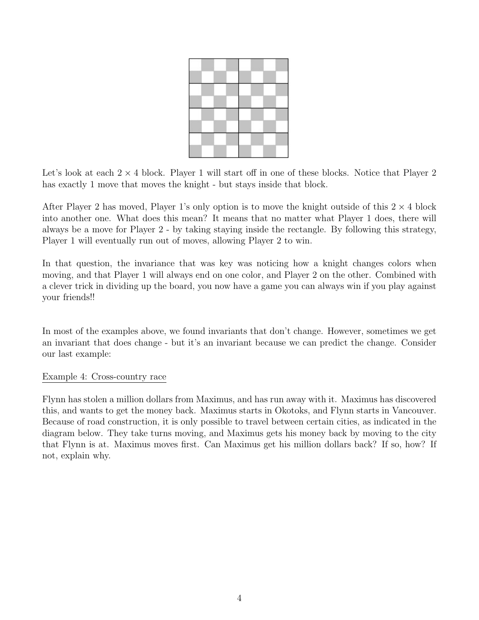

Let's look at each  $2 \times 4$  block. Player 1 will start off in one of these blocks. Notice that Player 2 has exactly 1 move that moves the knight - but stays inside that block.

After Player 2 has moved, Player 1's only option is to move the knight outside of this  $2 \times 4$  block into another one. What does this mean? It means that no matter what Player 1 does, there will always be a move for Player 2 - by taking staying inside the rectangle. By following this strategy, Player 1 will eventually run out of moves, allowing Player 2 to win.

In that question, the invariance that was key was noticing how a knight changes colors when moving, and that Player 1 will always end on one color, and Player 2 on the other. Combined with a clever trick in dividing up the board, you now have a game you can always win if you play against your friends!!

In most of the examples above, we found invariants that don't change. However, sometimes we get an invariant that does change - but it's an invariant because we can predict the change. Consider our last example:

#### Example 4: Cross-country race

Flynn has stolen a million dollars from Maximus, and has run away with it. Maximus has discovered this, and wants to get the money back. Maximus starts in Okotoks, and Flynn starts in Vancouver. Because of road construction, it is only possible to travel between certain cities, as indicated in the diagram below. They take turns moving, and Maximus gets his money back by moving to the city that Flynn is at. Maximus moves first. Can Maximus get his million dollars back? If so, how? If not, explain why.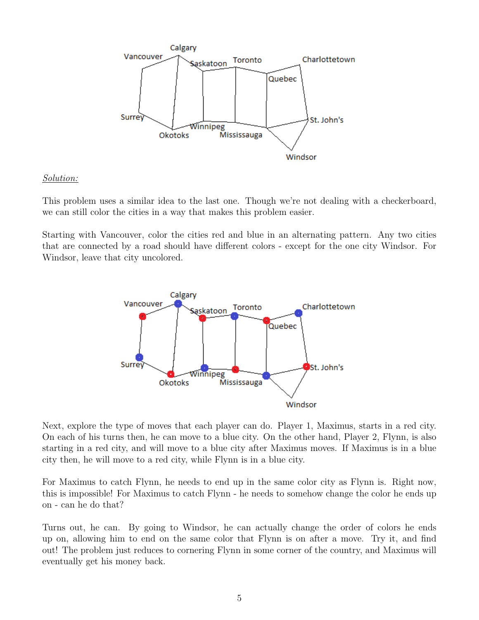

## Solution:

This problem uses a similar idea to the last one. Though we're not dealing with a checkerboard, we can still color the cities in a way that makes this problem easier.

Starting with Vancouver, color the cities red and blue in an alternating pattern. Any two cities that are connected by a road should have different colors - except for the one city Windsor. For Windsor, leave that city uncolored.



Next, explore the type of moves that each player can do. Player 1, Maximus, starts in a red city. On each of his turns then, he can move to a blue city. On the other hand, Player 2, Flynn, is also starting in a red city, and will move to a blue city after Maximus moves. If Maximus is in a blue city then, he will move to a red city, while Flynn is in a blue city.

For Maximus to catch Flynn, he needs to end up in the same color city as Flynn is. Right now, this is impossible! For Maximus to catch Flynn - he needs to somehow change the color he ends up on - can he do that?

Turns out, he can. By going to Windsor, he can actually change the order of colors he ends up on, allowing him to end on the same color that Flynn is on after a move. Try it, and find out! The problem just reduces to cornering Flynn in some corner of the country, and Maximus will eventually get his money back.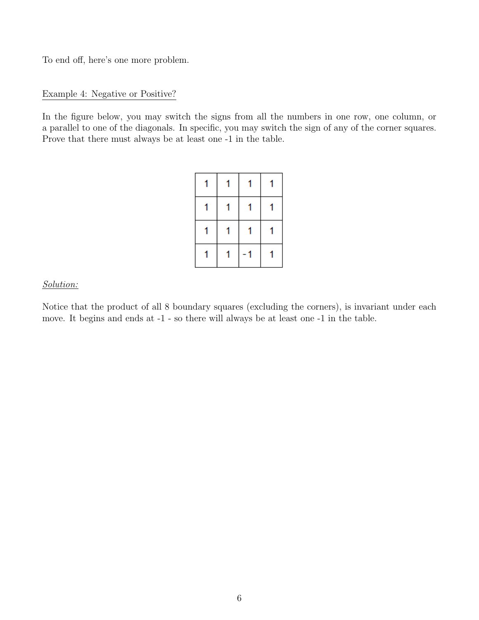To end off, here's one more problem.

#### Example 4: Negative or Positive?

In the figure below, you may switch the signs from all the numbers in one row, one column, or a parallel to one of the diagonals. In specific, you may switch the sign of any of the corner squares. Prove that there must always be at least one -1 in the table.

#### Solution:

Notice that the product of all 8 boundary squares (excluding the corners), is invariant under each move. It begins and ends at -1 - so there will always be at least one -1 in the table.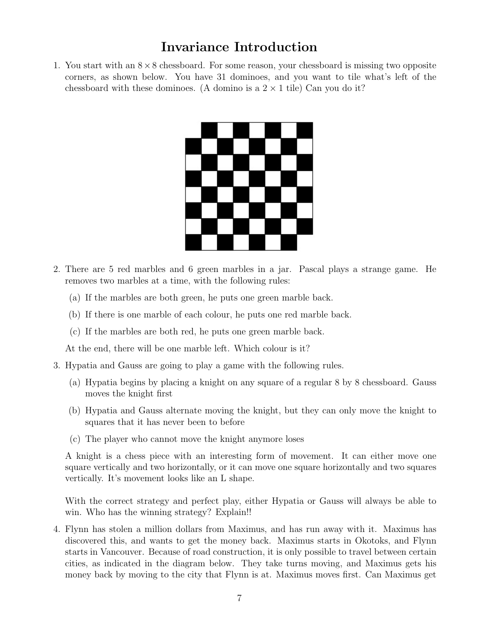# Invariance Introduction

1. You start with an  $8\times 8$  chessboard. For some reason, your chessboard is missing two opposite corners, as shown below. You have 31 dominoes, and you want to tile what's left of the chessboard with these dominoes. (A domino is a  $2 \times 1$  tile) Can you do it?



- 2. There are 5 red marbles and 6 green marbles in a jar. Pascal plays a strange game. He removes two marbles at a time, with the following rules:
	- (a) If the marbles are both green, he puts one green marble back.
	- (b) If there is one marble of each colour, he puts one red marble back.
	- (c) If the marbles are both red, he puts one green marble back.

At the end, there will be one marble left. Which colour is it?

- 3. Hypatia and Gauss are going to play a game with the following rules.
	- (a) Hypatia begins by placing a knight on any square of a regular 8 by 8 chessboard. Gauss moves the knight first
	- (b) Hypatia and Gauss alternate moving the knight, but they can only move the knight to squares that it has never been to before
	- (c) The player who cannot move the knight anymore loses

A knight is a chess piece with an interesting form of movement. It can either move one square vertically and two horizontally, or it can move one square horizontally and two squares vertically. It's movement looks like an L shape.

With the correct strategy and perfect play, either Hypatia or Gauss will always be able to win. Who has the winning strategy? Explain!!

4. Flynn has stolen a million dollars from Maximus, and has run away with it. Maximus has discovered this, and wants to get the money back. Maximus starts in Okotoks, and Flynn starts in Vancouver. Because of road construction, it is only possible to travel between certain cities, as indicated in the diagram below. They take turns moving, and Maximus gets his money back by moving to the city that Flynn is at. Maximus moves first. Can Maximus get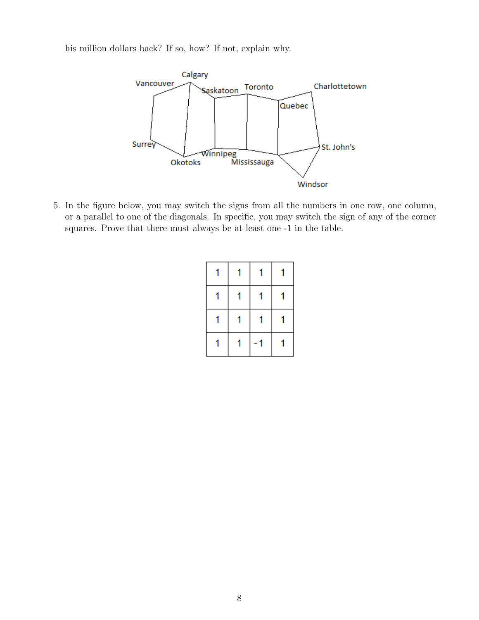his million dollars back? If so, how? If not, explain why.



5. In the figure below, you may switch the signs from all the numbers in one row, one column, or a parallel to one of the diagonals. In specific, you may switch the sign of any of the corner squares. Prove that there must always be at least one -1 in the table.